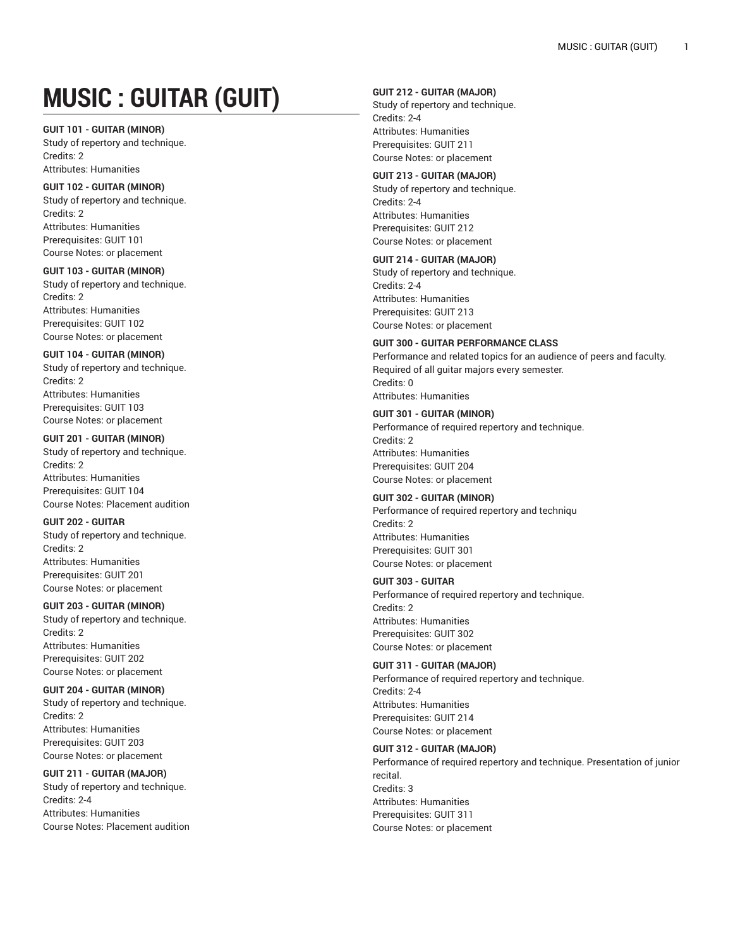# **MUSIC : GUITAR (GUIT)**

## **GUIT 101 - GUITAR (MINOR)**

Study of repertory and technique. Credits: 2 Attributes: Humanities

## **GUIT 102 - GUITAR (MINOR)**

Study of repertory and technique. Credits: 2 Attributes: Humanities Prerequisites: GUIT 101 Course Notes: or placement

## **GUIT 103 - GUITAR (MINOR)**

Study of repertory and technique. Credits: 2 Attributes: Humanities Prerequisites: GUIT 102 Course Notes: or placement

## **GUIT 104 - GUITAR (MINOR)**

Study of repertory and technique. Credits: 2 Attributes: Humanities Prerequisites: GUIT 103 Course Notes: or placement

# **GUIT 201 - GUITAR (MINOR)**

Study of repertory and technique. Credits: 2 Attributes: Humanities Prerequisites: GUIT 104 Course Notes: Placement audition

## **GUIT 202 - GUITAR**

Study of repertory and technique. Credits: 2 Attributes: Humanities Prerequisites: GUIT 201 Course Notes: or placement

## **GUIT 203 - GUITAR (MINOR)**

Study of repertory and technique. Credits: 2 Attributes: Humanities Prerequisites: GUIT 202 Course Notes: or placement

# **GUIT 204 - GUITAR (MINOR)**

Study of repertory and technique. Credits: 2 Attributes: Humanities Prerequisites: GUIT 203 Course Notes: or placement

# **GUIT 211 - GUITAR (MAJOR)**

Study of repertory and technique. Credits: 2-4 Attributes: Humanities Course Notes: Placement audition

## **GUIT 212 - GUITAR (MAJOR)**

Study of repertory and technique. Credits: 2-4 Attributes: Humanities Prerequisites: GUIT 211 Course Notes: or placement

#### **GUIT 213 - GUITAR (MAJOR)** Study of repertory and technique.

Credits: 2-4 Attributes: Humanities Prerequisites: GUIT 212 Course Notes: or placement

# **GUIT 214 - GUITAR (MAJOR)**

Study of repertory and technique. Credits: 2-4 Attributes: Humanities Prerequisites: GUIT 213 Course Notes: or placement

# **GUIT 300 - GUITAR PERFORMANCE CLASS**

Performance and related topics for an audience of peers and faculty. Required of all guitar majors every semester. Credits: 0 Attributes: Humanities

# **GUIT 301 - GUITAR (MINOR)**

Performance of required repertory and technique. Credits: 2 Attributes: Humanities Prerequisites: GUIT 204 Course Notes: or placement

# **GUIT 302 - GUITAR (MINOR)**

Performance of required repertory and techniqu Credits: 2 Attributes: Humanities Prerequisites: GUIT 301 Course Notes: or placement

## **GUIT 303 - GUITAR**

Performance of required repertory and technique. Credits: 2 Attributes: Humanities Prerequisites: GUIT 302 Course Notes: or placement

## **GUIT 311 - GUITAR (MAJOR)**

Performance of required repertory and technique. Credits: 2-4 Attributes: Humanities Prerequisites: GUIT 214 Course Notes: or placement

# **GUIT 312 - GUITAR (MAJOR)**

Performance of required repertory and technique. Presentation of junior recital. Credits: 3 Attributes: Humanities Prerequisites: GUIT 311 Course Notes: or placement